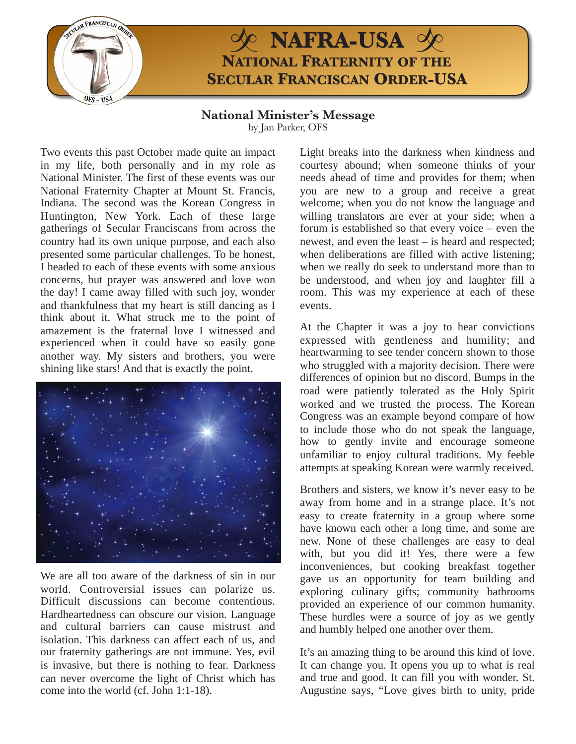

## $\circ$  **NAFRA-USA**  $\infty$ **NATIONAL FRATERNITY OF THE SECULAR FRANCISCAN ORDER-USA**

**National Minister's Message**  by Jan Parker, OFS

Two events this past October made quite an impact in my life, both personally and in my role as National Minister. The first of these events was our National Fraternity Chapter at Mount St. Francis, Indiana. The second was the Korean Congress in Huntington, New York. Each of these large gatherings of Secular Franciscans from across the country had its own unique purpose, and each also presented some particular challenges. To be honest, I headed to each of these events with some anxious concerns, but prayer was answered and love won the day! I came away filled with such joy, wonder and thankfulness that my heart is still dancing as I think about it. What struck me to the point of amazement is the fraternal love I witnessed and experienced when it could have so easily gone another way. My sisters and brothers, you were shining like stars! And that is exactly the point.



We are all too aware of the darkness of sin in our world. Controversial issues can polarize us. Difficult discussions can become contentious. Hardheartedness can obscure our vision. Language and cultural barriers can cause mistrust and isolation. This darkness can affect each of us, and our fraternity gatherings are not immune. Yes, evil is invasive, but there is nothing to fear. Darkness can never overcome the light of Christ which has come into the world (cf. John 1:1-18).

Light breaks into the darkness when kindness and courtesy abound; when someone thinks of your needs ahead of time and provides for them; when you are new to a group and receive a great welcome; when you do not know the language and willing translators are ever at your side; when a forum is established so that every voice – even the newest, and even the least – is heard and respected; when deliberations are filled with active listening; when we really do seek to understand more than to be understood, and when joy and laughter fill a room. This was my experience at each of these events.

At the Chapter it was a joy to hear convictions expressed with gentleness and humility; and heartwarming to see tender concern shown to those who struggled with a majority decision. There were differences of opinion but no discord. Bumps in the road were patiently tolerated as the Holy Spirit worked and we trusted the process. The Korean Congress was an example beyond compare of how to include those who do not speak the language, how to gently invite and encourage someone unfamiliar to enjoy cultural traditions. My feeble attempts at speaking Korean were warmly received.

Brothers and sisters, we know it's never easy to be away from home and in a strange place. It's not easy to create fraternity in a group where some have known each other a long time, and some are new. None of these challenges are easy to deal with, but you did it! Yes, there were a few inconveniences, but cooking breakfast together gave us an opportunity for team building and exploring culinary gifts; community bathrooms provided an experience of our common humanity. These hurdles were a source of joy as we gently and humbly helped one another over them.

It's an amazing thing to be around this kind of love. It can change you. It opens you up to what is real and true and good. It can fill you with wonder. St. Augustine says, "Love gives birth to unity, pride